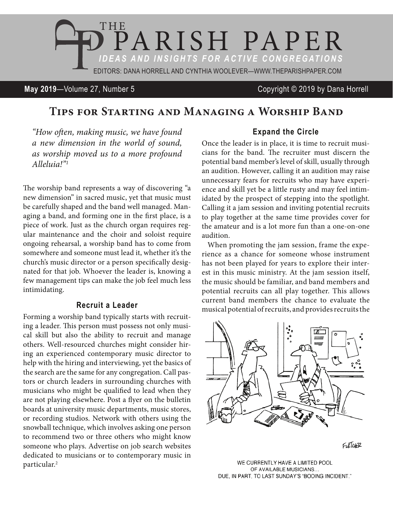

**May 2019**—Volume 27, Number 5 Copyright © 2019 by Dana Horrell

# **Tips for Starting and Managing a Worship Band**

*"How often, making music, we have found a new dimension in the world of sound, as worship moved us to a more profound Alleluia!"1*

The worship band represents a way of discovering "a new dimension" in sacred music, yet that music must be carefully shaped and the band well managed. Managing a band, and forming one in the first place, is a piece of work. Just as the church organ requires regular maintenance and the choir and soloist require ongoing rehearsal, a worship band has to come from somewhere and someone must lead it, whether it's the church's music director or a person specifically designated for that job. Whoever the leader is, knowing a few management tips can make the job feel much less intimidating.

#### **Recruit a Leader**

Forming a worship band typically starts with recruiting a leader. This person must possess not only musical skill but also the ability to recruit and manage others. Well-resourced churches might consider hiring an experienced contemporary music director to help with the hiring and interviewing, yet the basics of the search are the same for any congregation. Call pastors or church leaders in surrounding churches with musicians who might be qualified to lead when they are not playing elsewhere. Post a flyer on the bulletin boards at university music departments, music stores, or recording studios. Network with others using the snowball technique, which involves asking one person to recommend two or three others who might know someone who plays. Advertise on job search websites dedicated to musicians or to contemporary music in particular.2

## **Expand the Circle**

Once the leader is in place, it is time to recruit musicians for the band. The recruiter must discern the potential band member's level of skill, usually through an audition. However, calling it an audition may raise unnecessary fears for recruits who may have experience and skill yet be a little rusty and may feel intimidated by the prospect of stepping into the spotlight. Calling it a jam session and inviting potential recruits to play together at the same time provides cover for the amateur and is a lot more fun than a one-on-one audition.

When promoting the jam session, frame the experience as a chance for someone whose instrument has not been played for years to explore their interest in this music ministry. At the jam session itself, the music should be familiar, and band members and potential recruits can all play together. This allows current band members the chance to evaluate the musical potential of recruits, and provides recruits the



FLETCHER

WE CURRENTLY HAVE A LIMITED POOL OF AVAILABLE MUSICIANS... DUE, IN PART, TO LAST SUNDAY'S "BOOING INCIDENT."